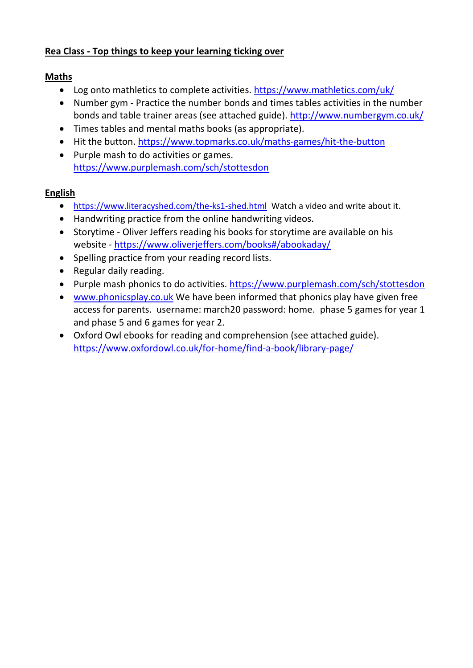# **Rea Class - Top things to keep your learning ticking over**

#### **Maths**

- Log onto mathletics to complete activities. <https://www.mathletics.com/uk/>
- Number gym Practice the number bonds and times tables activities in the number bonds and table trainer areas (see attached guide). <http://www.numbergym.co.uk/>
- Times tables and mental maths books (as appropriate).
- Hit the button. <https://www.topmarks.co.uk/maths-games/hit-the-button>
- Purple mash to do activities or games. <https://www.purplemash.com/sch/stottesdon>

# **English**

- <https://www.literacyshed.com/the-ks1-shed.html>Watch a video and write about it.
- Handwriting practice from the online handwriting videos.
- Storytime Oliver Jeffers reading his books for storytime are available on his website - <https://www.oliverjeffers.com/books#/abookaday/>
- Spelling practice from your reading record lists.
- Regular daily reading.
- Purple mash phonics to do activities. <https://www.purplemash.com/sch/stottesdon>
- [www.phonicsplay.co.uk](http://www.phonicsplay.co.uk/) We have been informed that phonics play have given free access for parents. username: march20 password: home. phase 5 games for year 1 and phase 5 and 6 games for year 2.
- Oxford Owl ebooks for reading and comprehension (see attached guide). <https://www.oxfordowl.co.uk/for-home/find-a-book/library-page/>